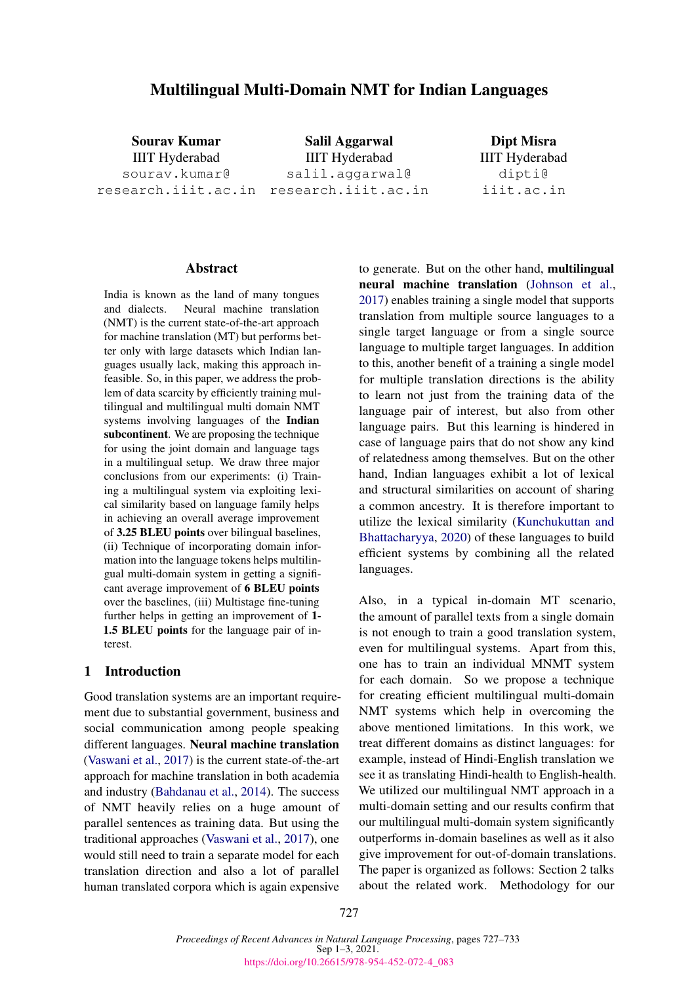# Multilingual Multi-Domain NMT for Indian Languages

Sourav Kumar IIIT Hyderabad sourav.kumar@ research.iiit.ac.in research.iiit.ac.in

Salil Aggarwal IIIT Hyderabad salil.aggarwal@

Dipt Misra IIIT Hyderabad dipti@ iiit.ac.in

## **Abstract**

India is known as the land of many tongues and dialects. Neural machine translation (NMT) is the current state-of-the-art approach for machine translation (MT) but performs better only with large datasets which Indian languages usually lack, making this approach infeasible. So, in this paper, we address the problem of data scarcity by efficiently training multilingual and multilingual multi domain NMT systems involving languages of the Indian subcontinent. We are proposing the technique for using the joint domain and language tags in a multilingual setup. We draw three major conclusions from our experiments: (i) Training a multilingual system via exploiting lexical similarity based on language family helps in achieving an overall average improvement of 3.25 BLEU points over bilingual baselines, (ii) Technique of incorporating domain information into the language tokens helps multilingual multi-domain system in getting a significant average improvement of 6 BLEU points over the baselines, (iii) Multistage fine-tuning further helps in getting an improvement of 1- 1.5 BLEU points for the language pair of interest.

## 1 Introduction

Good translation systems are an important requirement due to substantial government, business and social communication among people speaking different languages. Neural machine translation [\(Vaswani et al.,](#page-6-0) [2017\)](#page-6-0) is the current state-of-the-art approach for machine translation in both academia and industry [\(Bahdanau et al.,](#page-5-0) [2014\)](#page-5-0). The success of NMT heavily relies on a huge amount of parallel sentences as training data. But using the traditional approaches [\(Vaswani et al.,](#page-6-0) [2017\)](#page-6-0), one would still need to train a separate model for each translation direction and also a lot of parallel human translated corpora which is again expensive

to generate. But on the other hand, multilingual neural machine translation [\(Johnson et al.,](#page-6-1) [2017\)](#page-6-1) enables training a single model that supports translation from multiple source languages to a single target language or from a single source language to multiple target languages. In addition to this, another benefit of a training a single model for multiple translation directions is the ability to learn not just from the training data of the language pair of interest, but also from other language pairs. But this learning is hindered in case of language pairs that do not show any kind of relatedness among themselves. But on the other hand, Indian languages exhibit a lot of lexical and structural similarities on account of sharing a common ancestry. It is therefore important to utilize the lexical similarity [\(Kunchukuttan and](#page-6-2) [Bhattacharyya,](#page-6-2) [2020\)](#page-6-2) of these languages to build efficient systems by combining all the related languages.

Also, in a typical in-domain MT scenario, the amount of parallel texts from a single domain is not enough to train a good translation system, even for multilingual systems. Apart from this, one has to train an individual MNMT system for each domain. So we propose a technique for creating efficient multilingual multi-domain NMT systems which help in overcoming the above mentioned limitations. In this work, we treat different domains as distinct languages: for example, instead of Hindi-English translation we see it as translating Hindi-health to English-health. We utilized our multilingual NMT approach in a multi-domain setting and our results confirm that our multilingual multi-domain system significantly outperforms in-domain baselines as well as it also give improvement for out-of-domain translations. The paper is organized as follows: Section 2 talks about the related work. Methodology for our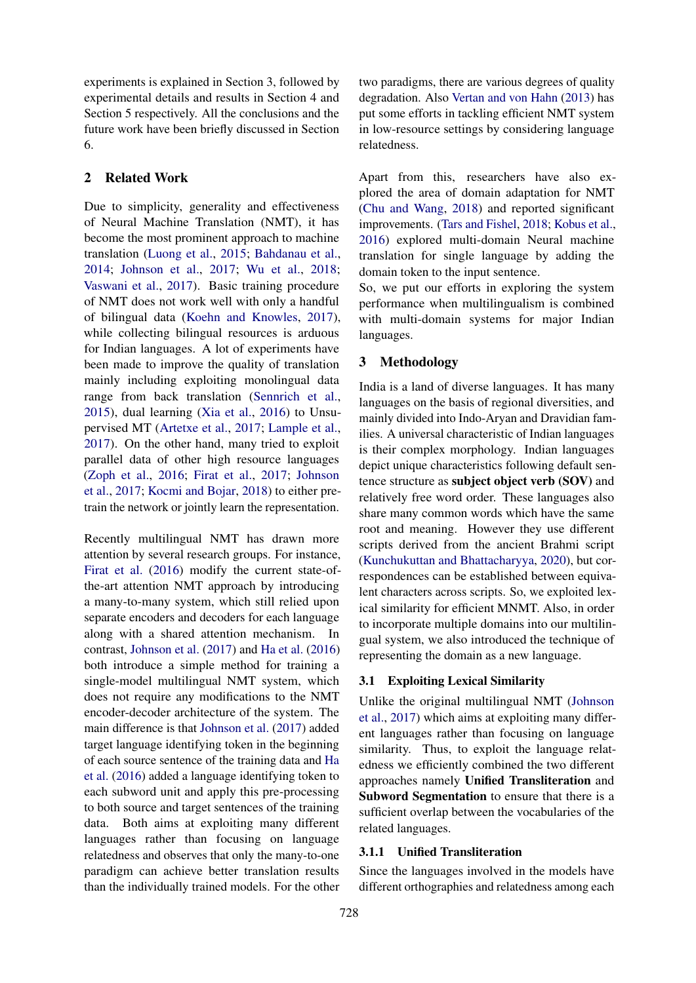experiments is explained in Section 3, followed by experimental details and results in Section 4 and Section 5 respectively. All the conclusions and the future work have been briefly discussed in Section 6.

## 2 Related Work

Due to simplicity, generality and effectiveness of Neural Machine Translation (NMT), it has become the most prominent approach to machine translation [\(Luong et al.,](#page-6-3) [2015;](#page-6-3) [Bahdanau et al.,](#page-5-0) [2014;](#page-5-0) [Johnson et al.,](#page-6-1) [2017;](#page-6-1) [Wu et al.,](#page-6-4) [2018;](#page-6-4) [Vaswani et al.,](#page-6-0) [2017\)](#page-6-0). Basic training procedure of NMT does not work well with only a handful of bilingual data [\(Koehn and Knowles,](#page-6-5) [2017\)](#page-6-5), while collecting bilingual resources is arduous for Indian languages. A lot of experiments have been made to improve the quality of translation mainly including exploiting monolingual data range from back translation [\(Sennrich et al.,](#page-6-6) [2015\)](#page-6-6), dual learning [\(Xia et al.,](#page-6-7) [2016\)](#page-6-7) to Unsupervised MT [\(Artetxe et al.,](#page-5-1) [2017;](#page-5-1) [Lample et al.,](#page-6-8) [2017\)](#page-6-8). On the other hand, many tried to exploit parallel data of other high resource languages [\(Zoph et al.,](#page-6-9) [2016;](#page-6-9) [Firat et al.,](#page-5-2) [2017;](#page-5-2) [Johnson](#page-6-1) [et al.,](#page-6-1) [2017;](#page-6-1) [Kocmi and Bojar,](#page-6-10) [2018\)](#page-6-10) to either pretrain the network or jointly learn the representation.

Recently multilingual NMT has drawn more attention by several research groups. For instance, [Firat et al.](#page-5-3) [\(2016\)](#page-5-3) modify the current state-ofthe-art attention NMT approach by introducing a many-to-many system, which still relied upon separate encoders and decoders for each language along with a shared attention mechanism. In contrast, [Johnson et al.](#page-6-1) [\(2017\)](#page-6-1) and [Ha et al.](#page-5-4) [\(2016\)](#page-5-4) both introduce a simple method for training a single-model multilingual NMT system, which does not require any modifications to the NMT encoder-decoder architecture of the system. The main difference is that [Johnson et al.](#page-6-1) [\(2017\)](#page-6-1) added target language identifying token in the beginning of each source sentence of the training data and [Ha](#page-5-4) [et al.](#page-5-4) [\(2016\)](#page-5-4) added a language identifying token to each subword unit and apply this pre-processing to both source and target sentences of the training data. Both aims at exploiting many different languages rather than focusing on language relatedness and observes that only the many-to-one paradigm can achieve better translation results than the individually trained models. For the other

two paradigms, there are various degrees of quality degradation. Also [Vertan and von Hahn](#page-6-11) [\(2013\)](#page-6-11) has put some efforts in tackling efficient NMT system in low-resource settings by considering language relatedness.

Apart from this, researchers have also explored the area of domain adaptation for NMT [\(Chu and Wang,](#page-5-5) [2018\)](#page-5-5) and reported significant improvements. [\(Tars and Fishel,](#page-6-12) [2018;](#page-6-12) [Kobus et al.,](#page-6-13) [2016\)](#page-6-13) explored multi-domain Neural machine translation for single language by adding the domain token to the input sentence.

So, we put our efforts in exploring the system performance when multilingualism is combined with multi-domain systems for major Indian languages.

## 3 Methodology

India is a land of diverse languages. It has many languages on the basis of regional diversities, and mainly divided into Indo-Aryan and Dravidian families. A universal characteristic of Indian languages is their complex morphology. Indian languages depict unique characteristics following default sentence structure as subject object verb (SOV) and relatively free word order. These languages also share many common words which have the same root and meaning. However they use different scripts derived from the ancient Brahmi script [\(Kunchukuttan and Bhattacharyya,](#page-6-2) [2020\)](#page-6-2), but correspondences can be established between equivalent characters across scripts. So, we exploited lexical similarity for efficient MNMT. Also, in order to incorporate multiple domains into our multilingual system, we also introduced the technique of representing the domain as a new language.

## 3.1 Exploiting Lexical Similarity

Unlike the original multilingual NMT [\(Johnson](#page-6-1) [et al.,](#page-6-1) [2017\)](#page-6-1) which aims at exploiting many different languages rather than focusing on language similarity. Thus, to exploit the language relatedness we efficiently combined the two different approaches namely Unified Transliteration and Subword Segmentation to ensure that there is a sufficient overlap between the vocabularies of the related languages.

## 3.1.1 Unified Transliteration

Since the languages involved in the models have different orthographies and relatedness among each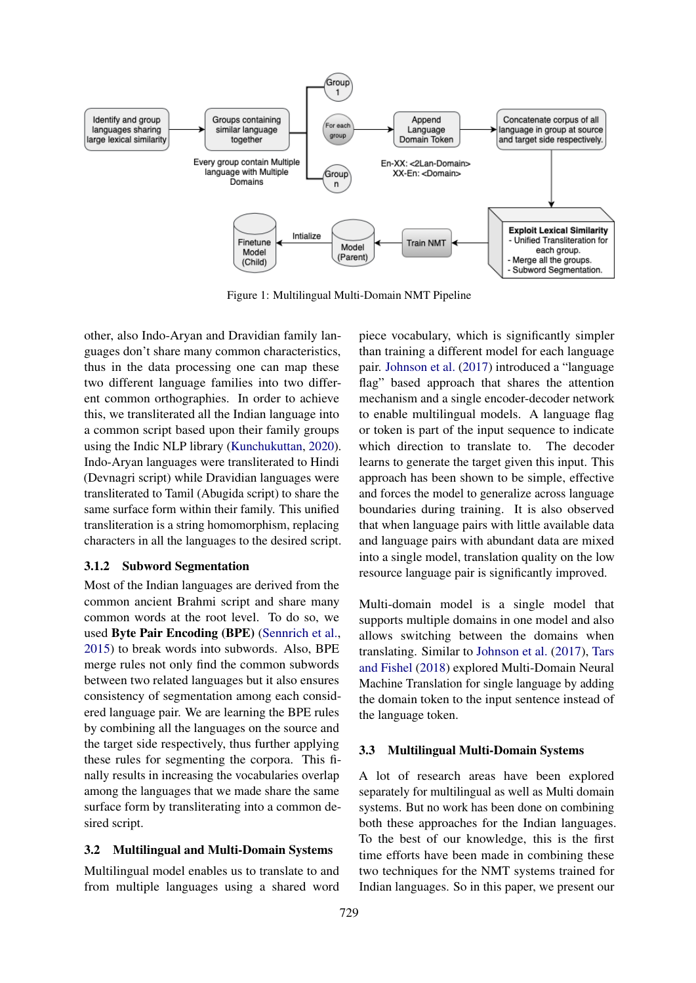

Figure 1: Multilingual Multi-Domain NMT Pipeline

other, also Indo-Aryan and Dravidian family languages don't share many common characteristics, thus in the data processing one can map these two different language families into two different common orthographies. In order to achieve this, we transliterated all the Indian language into a common script based upon their family groups using the Indic NLP library [\(Kunchukuttan,](#page-6-14) [2020\)](#page-6-14). Indo-Aryan languages were transliterated to Hindi (Devnagri script) while Dravidian languages were transliterated to Tamil (Abugida script) to share the same surface form within their family. This unified transliteration is a string homomorphism, replacing characters in all the languages to the desired script.

#### 3.1.2 Subword Segmentation

Most of the Indian languages are derived from the common ancient Brahmi script and share many common words at the root level. To do so, we used Byte Pair Encoding (BPE) [\(Sennrich et al.,](#page-6-6) [2015\)](#page-6-6) to break words into subwords. Also, BPE merge rules not only find the common subwords between two related languages but it also ensures consistency of segmentation among each considered language pair. We are learning the BPE rules by combining all the languages on the source and the target side respectively, thus further applying these rules for segmenting the corpora. This finally results in increasing the vocabularies overlap among the languages that we made share the same surface form by transliterating into a common desired script.

#### 3.2 Multilingual and Multi-Domain Systems

Multilingual model enables us to translate to and from multiple languages using a shared word

piece vocabulary, which is significantly simpler than training a different model for each language pair. [Johnson et al.](#page-6-1) [\(2017\)](#page-6-1) introduced a "language flag" based approach that shares the attention mechanism and a single encoder-decoder network to enable multilingual models. A language flag or token is part of the input sequence to indicate which direction to translate to. The decoder learns to generate the target given this input. This approach has been shown to be simple, effective and forces the model to generalize across language boundaries during training. It is also observed that when language pairs with little available data and language pairs with abundant data are mixed into a single model, translation quality on the low resource language pair is significantly improved.

Multi-domain model is a single model that supports multiple domains in one model and also allows switching between the domains when translating. Similar to [Johnson et al.](#page-6-1) [\(2017\)](#page-6-1), [Tars](#page-6-12) [and Fishel](#page-6-12) [\(2018\)](#page-6-12) explored Multi-Domain Neural Machine Translation for single language by adding the domain token to the input sentence instead of the language token.

#### 3.3 Multilingual Multi-Domain Systems

A lot of research areas have been explored separately for multilingual as well as Multi domain systems. But no work has been done on combining both these approaches for the Indian languages. To the best of our knowledge, this is the first time efforts have been made in combining these two techniques for the NMT systems trained for Indian languages. So in this paper, we present our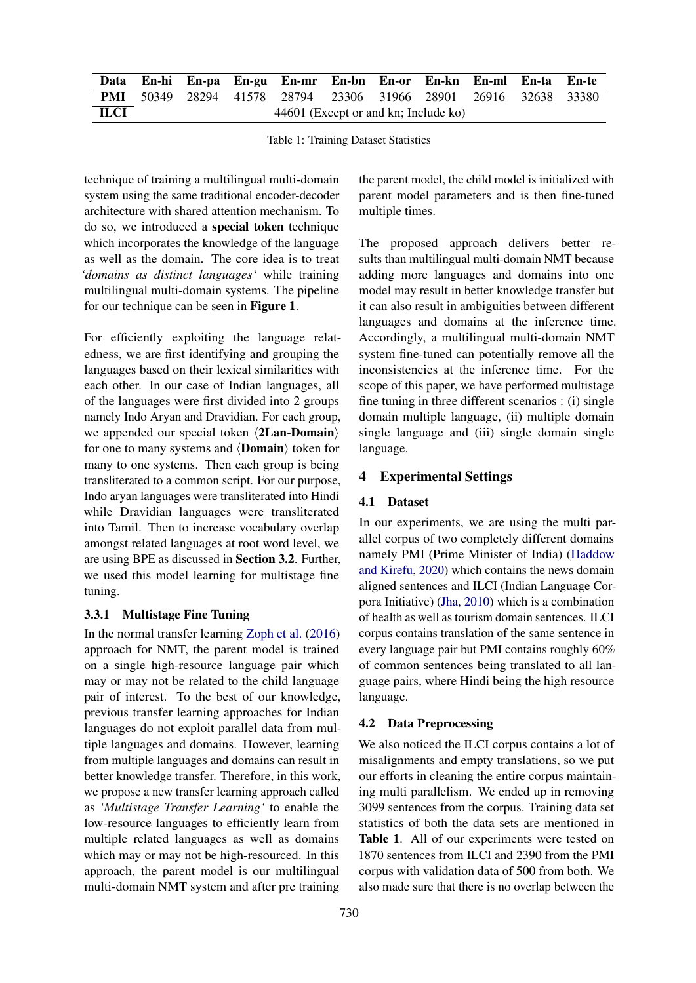|             |                                      |  |  | Data En-hi En-pa En-gu En-mr En-bn En-or En-kn En-ml En-ta En-te       |  |  |  |  |  |  |  |
|-------------|--------------------------------------|--|--|------------------------------------------------------------------------|--|--|--|--|--|--|--|
|             |                                      |  |  | <b>PMI</b> 50349 28294 41578 28794 23306 31966 28901 26916 32638 33380 |  |  |  |  |  |  |  |
| <b>ILCI</b> | 44601 (Except or and kn; Include ko) |  |  |                                                                        |  |  |  |  |  |  |  |

Table 1: Training Dataset Statistics

technique of training a multilingual multi-domain system using the same traditional encoder-decoder architecture with shared attention mechanism. To do so, we introduced a special token technique which incorporates the knowledge of the language as well as the domain. The core idea is to treat *'domains as distinct languages'* while training multilingual multi-domain systems. The pipeline for our technique can be seen in Figure 1.

For efficiently exploiting the language relatedness, we are first identifying and grouping the languages based on their lexical similarities with each other. In our case of Indian languages, all of the languages were first divided into 2 groups namely Indo Aryan and Dravidian. For each group, we appended our special token  $\langle 2\text{Lan-Domain}\rangle$ for one to many systems and  $\langle$ **Domain** $\rangle$  token for many to one systems. Then each group is being transliterated to a common script. For our purpose, Indo aryan languages were transliterated into Hindi while Dravidian languages were transliterated into Tamil. Then to increase vocabulary overlap amongst related languages at root word level, we are using BPE as discussed in Section 3.2. Further, we used this model learning for multistage fine tuning.

#### 3.3.1 Multistage Fine Tuning

In the normal transfer learning [Zoph et al.](#page-6-9) [\(2016\)](#page-6-9) approach for NMT, the parent model is trained on a single high-resource language pair which may or may not be related to the child language pair of interest. To the best of our knowledge, previous transfer learning approaches for Indian languages do not exploit parallel data from multiple languages and domains. However, learning from multiple languages and domains can result in better knowledge transfer. Therefore, in this work, we propose a new transfer learning approach called as *'Multistage Transfer Learning'* to enable the low-resource languages to efficiently learn from multiple related languages as well as domains which may or may not be high-resourced. In this approach, the parent model is our multilingual multi-domain NMT system and after pre training

the parent model, the child model is initialized with parent model parameters and is then fine-tuned multiple times.

The proposed approach delivers better results than multilingual multi-domain NMT because adding more languages and domains into one model may result in better knowledge transfer but it can also result in ambiguities between different languages and domains at the inference time. Accordingly, a multilingual multi-domain NMT system fine-tuned can potentially remove all the inconsistencies at the inference time. For the scope of this paper, we have performed multistage fine tuning in three different scenarios : (i) single domain multiple language, (ii) multiple domain single language and (iii) single domain single language.

### 4 Experimental Settings

### 4.1 Dataset

In our experiments, we are using the multi parallel corpus of two completely different domains namely PMI (Prime Minister of India) [\(Haddow](#page-5-6) [and Kirefu,](#page-5-6) [2020\)](#page-5-6) which contains the news domain aligned sentences and ILCI (Indian Language Corpora Initiative) [\(Jha,](#page-5-7) [2010\)](#page-5-7) which is a combination of health as well as tourism domain sentences. ILCI corpus contains translation of the same sentence in every language pair but PMI contains roughly 60% of common sentences being translated to all language pairs, where Hindi being the high resource language.

### 4.2 Data Preprocessing

We also noticed the ILCI corpus contains a lot of misalignments and empty translations, so we put our efforts in cleaning the entire corpus maintaining multi parallelism. We ended up in removing 3099 sentences from the corpus. Training data set statistics of both the data sets are mentioned in Table 1. All of our experiments were tested on 1870 sentences from ILCI and 2390 from the PMI corpus with validation data of 500 from both. We also made sure that there is no overlap between the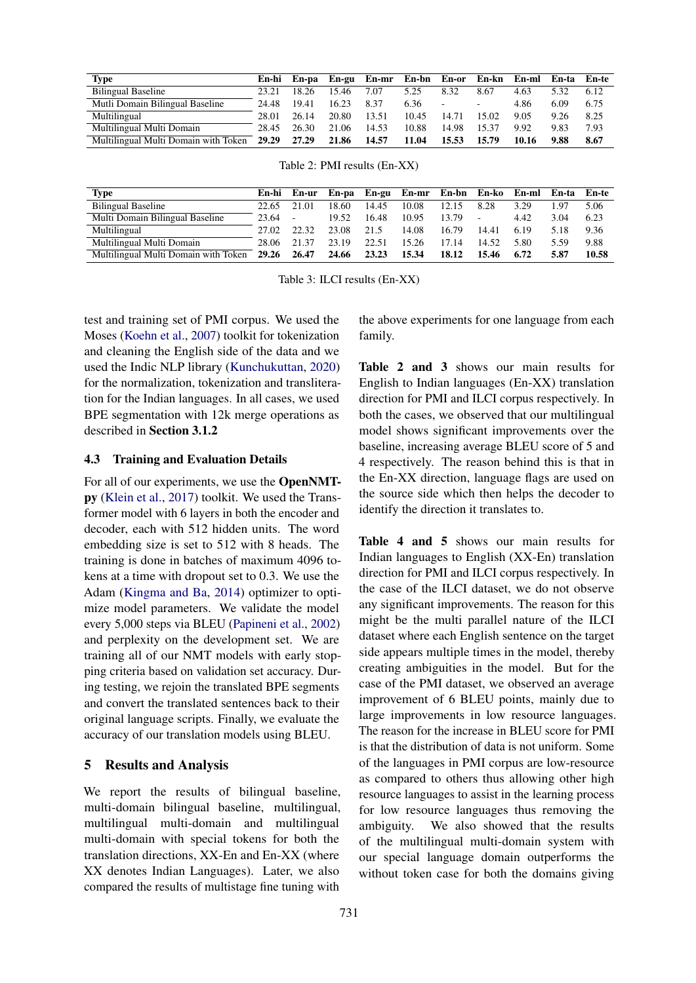| Type                                       |       |       |       | En-hi En-pa En-gu En-mr En-bn En-or En-kn En-ml En-ta En-te |       |                |                          |       |      |      |
|--------------------------------------------|-------|-------|-------|-------------------------------------------------------------|-------|----------------|--------------------------|-------|------|------|
| <b>Bilingual Baseline</b>                  | 23.21 | 18.26 | 15.46 | 7.07                                                        | 5.25  | 8.32           | 8.67                     | 4.63  | 532  | 6.12 |
| Mutli Domain Bilingual Baseline            | 24.48 | 19.41 | 16.23 | 8.37                                                        | 6.36  | $\blacksquare$ | $\overline{\phantom{a}}$ | 4.86  | 6.09 | 6.75 |
| Multilingual                               | 28.01 | 26.14 | 20.80 | 13.51                                                       | 10.45 | 14.71          | 15.02                    | 9.05  | 9.26 | 8.25 |
| Multilingual Multi Domain                  | 28.45 | 26.30 | 21.06 | 14.53                                                       | 10.88 | 14.98          | 15.37                    | 9.92  | 9.83 | 7.93 |
| Multilingual Multi Domain with Token 29.29 |       | 27.29 | 21.86 | 14.57                                                       | 11.04 | 15.53          | 15.79                    | 10.16 | 9.88 | 8.67 |

|  |  |  | Table 2: PMI results (En-XX) |
|--|--|--|------------------------------|
|--|--|--|------------------------------|

| <b>Type</b>                          | En-hi | En-ur  |       |       | En-pa En-gu En-mr En-bn En-ko |       |        | En-ml En-ta En-te |      |       |
|--------------------------------------|-------|--------|-------|-------|-------------------------------|-------|--------|-------------------|------|-------|
| <b>Bilingual Baseline</b>            | 22.65 | 21.01  | 18.60 | 14.45 | 10.08                         | 12.15 | 8.28   | 3.29              | l 97 | 5.06  |
| Multi Domain Bilingual Baseline      | 23.64 | $\sim$ | 19.52 | 16.48 | 10.95                         | 13.79 | $\sim$ | 4.42              | 3.04 | 6.23  |
| Multilingual                         | 27.02 | 22.32  | 23.08 | 21.5  | 14.08                         | 16.79 | 14.41  | 6.19              | 5.18 | 9.36  |
| Multilingual Multi Domain            | 28.06 | 21.37  | 23.19 | 22.51 | 15.26                         | 17.14 | 14.52  | 5.80              | 5.59 | 9.88  |
| Multilingual Multi Domain with Token | 29.26 | 26.47  | 24.66 | 23.23 | 15.34                         | 18.12 | 15.46  | 6.72              | 5.87 | 10.58 |

Table 3: ILCI results (En-XX)

test and training set of PMI corpus. We used the Moses [\(Koehn et al.,](#page-6-15) [2007\)](#page-6-15) toolkit for tokenization and cleaning the English side of the data and we used the Indic NLP library [\(Kunchukuttan,](#page-6-14) [2020\)](#page-6-14) for the normalization, tokenization and transliteration for the Indian languages. In all cases, we used BPE segmentation with 12k merge operations as described in Section 3.1.2

### 4.3 Training and Evaluation Details

For all of our experiments, we use the OpenNMTpy [\(Klein et al.,](#page-6-16) [2017\)](#page-6-16) toolkit. We used the Transformer model with 6 layers in both the encoder and decoder, each with 512 hidden units. The word embedding size is set to 512 with 8 heads. The training is done in batches of maximum 4096 tokens at a time with dropout set to 0.3. We use the Adam [\(Kingma and Ba,](#page-6-17) [2014\)](#page-6-17) optimizer to optimize model parameters. We validate the model every 5,000 steps via BLEU [\(Papineni et al.,](#page-6-18) [2002\)](#page-6-18) and perplexity on the development set. We are training all of our NMT models with early stopping criteria based on validation set accuracy. During testing, we rejoin the translated BPE segments and convert the translated sentences back to their original language scripts. Finally, we evaluate the accuracy of our translation models using BLEU.

#### 5 Results and Analysis

We report the results of bilingual baseline, multi-domain bilingual baseline, multilingual, multilingual multi-domain and multilingual multi-domain with special tokens for both the translation directions, XX-En and En-XX (where XX denotes Indian Languages). Later, we also compared the results of multistage fine tuning with the above experiments for one language from each family.

Table 2 and 3 shows our main results for English to Indian languages (En-XX) translation direction for PMI and ILCI corpus respectively. In both the cases, we observed that our multilingual model shows significant improvements over the baseline, increasing average BLEU score of 5 and 4 respectively. The reason behind this is that in the En-XX direction, language flags are used on the source side which then helps the decoder to identify the direction it translates to.

Table 4 and 5 shows our main results for Indian languages to English (XX-En) translation direction for PMI and ILCI corpus respectively. In the case of the ILCI dataset, we do not observe any significant improvements. The reason for this might be the multi parallel nature of the ILCI dataset where each English sentence on the target side appears multiple times in the model, thereby creating ambiguities in the model. But for the case of the PMI dataset, we observed an average improvement of 6 BLEU points, mainly due to large improvements in low resource languages. The reason for the increase in BLEU score for PMI is that the distribution of data is not uniform. Some of the languages in PMI corpus are low-resource as compared to others thus allowing other high resource languages to assist in the learning process for low resource languages thus removing the ambiguity. We also showed that the results of the multilingual multi-domain system with our special language domain outperforms the without token case for both the domains giving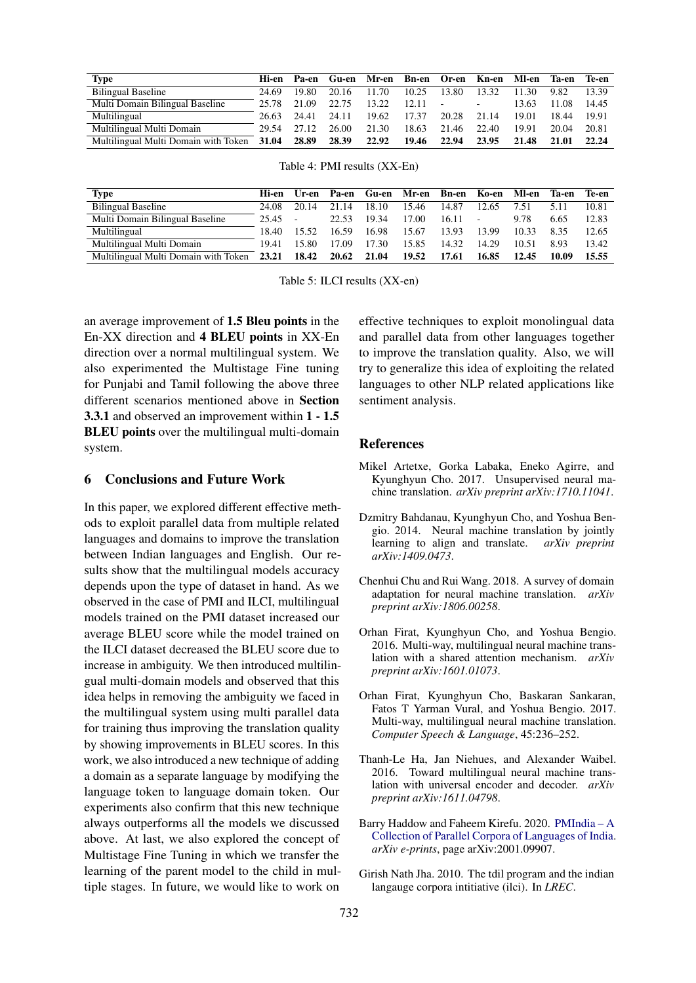| Type                                             | Hi-en | Pa-en |       | Gu-en Mr-en Bn-en Or-en Kn-en Ml-en Ta-en Te-en |             |       |        |       |       |       |
|--------------------------------------------------|-------|-------|-------|-------------------------------------------------|-------------|-------|--------|-------|-------|-------|
| <b>Bilingual Baseline</b>                        | 24.69 | 19.80 | 20.16 | 11.70                                           | 10.25       | 13.80 | 13.32  | 11.30 | 9.82  | 13.39 |
| Multi Domain Bilingual Baseline                  | 25.78 | 21.09 | 22.75 | 13.22                                           | $12.11 - -$ |       | $\sim$ | 13.63 | 11.08 | 14.45 |
| Multilingual                                     | 26.63 | 24.41 | 24.11 | 19.62                                           | 17.37       | 20.28 | 21.14  | 19.01 | 18.44 | 19.91 |
| Multilingual Multi Domain                        | 29.54 | 27.12 | 26.00 | 21.30                                           | 18.63       | 21.46 | 22.40  | 19.91 | 20.04 | 20.81 |
| Multilingual Multi Domain with Token 31.04 28.89 |       |       | 28.39 | 22.92                                           | 19.46       | 22.94 | 23.95  | 21.48 | 21.01 | 22.24 |

|  |  |  | Table 4: PMI results (XX-En) |
|--|--|--|------------------------------|
|--|--|--|------------------------------|

| Type                                       | Hi-en | Ur-en | Pa-en |       | Gu-en Mr-en Bn-en Ko-en |       |                          | Ml-en Ta-en |       | Te-en |
|--------------------------------------------|-------|-------|-------|-------|-------------------------|-------|--------------------------|-------------|-------|-------|
| <b>Bilingual Baseline</b>                  | 24.08 | 20.14 | 21.14 | 18.10 | 15.46                   | 14.87 | 12.65                    | 7.51        | 5.11  | 10.81 |
| Multi Domain Bilingual Baseline            | 25.45 |       | 22.53 | 19.34 | 17.00                   | 16.11 | $\overline{\phantom{a}}$ | 9.78        | 6.65  | 12.83 |
| Multilingual                               | 18.40 | 15.52 | 16.59 | 16.98 | 15.67                   | 13.93 | 13.99                    | 10.33       | 835   | 12.65 |
| Multilingual Multi Domain                  | 19.41 | 15.80 | 17.09 | 17.30 | 15.85                   | 14.32 | 14.29                    | 10.51       | 893   | 13.42 |
| Multilingual Multi Domain with Token 23.21 |       | 18.42 | 20.62 | 21.04 | 19.52                   | 17.61 | 16.85                    | 12.45       | 10.09 | 15.55 |

Table 5: ILCI results (XX-en)

an average improvement of 1.5 Bleu points in the En-XX direction and 4 BLEU points in XX-En direction over a normal multilingual system. We also experimented the Multistage Fine tuning for Punjabi and Tamil following the above three different scenarios mentioned above in Section 3.3.1 and observed an improvement within 1 - 1.5 BLEU points over the multilingual multi-domain system.

### 6 Conclusions and Future Work

In this paper, we explored different effective methods to exploit parallel data from multiple related languages and domains to improve the translation between Indian languages and English. Our results show that the multilingual models accuracy depends upon the type of dataset in hand. As we observed in the case of PMI and ILCI, multilingual models trained on the PMI dataset increased our average BLEU score while the model trained on the ILCI dataset decreased the BLEU score due to increase in ambiguity. We then introduced multilingual multi-domain models and observed that this idea helps in removing the ambiguity we faced in the multilingual system using multi parallel data for training thus improving the translation quality by showing improvements in BLEU scores. In this work, we also introduced a new technique of adding a domain as a separate language by modifying the language token to language domain token. Our experiments also confirm that this new technique always outperforms all the models we discussed above. At last, we also explored the concept of Multistage Fine Tuning in which we transfer the learning of the parent model to the child in multiple stages. In future, we would like to work on

effective techniques to exploit monolingual data and parallel data from other languages together to improve the translation quality. Also, we will try to generalize this idea of exploiting the related languages to other NLP related applications like sentiment analysis.

#### References

- <span id="page-5-1"></span>Mikel Artetxe, Gorka Labaka, Eneko Agirre, and Kyunghyun Cho. 2017. Unsupervised neural machine translation. *arXiv preprint arXiv:1710.11041*.
- <span id="page-5-0"></span>Dzmitry Bahdanau, Kyunghyun Cho, and Yoshua Bengio. 2014. Neural machine translation by jointly learning to align and translate. *arXiv preprint arXiv:1409.0473*.
- <span id="page-5-5"></span>Chenhui Chu and Rui Wang. 2018. A survey of domain adaptation for neural machine translation. *arXiv preprint arXiv:1806.00258*.
- <span id="page-5-3"></span>Orhan Firat, Kyunghyun Cho, and Yoshua Bengio. 2016. Multi-way, multilingual neural machine translation with a shared attention mechanism. *arXiv preprint arXiv:1601.01073*.
- <span id="page-5-2"></span>Orhan Firat, Kyunghyun Cho, Baskaran Sankaran, Fatos T Yarman Vural, and Yoshua Bengio. 2017. Multi-way, multilingual neural machine translation. *Computer Speech & Language*, 45:236–252.
- <span id="page-5-4"></span>Thanh-Le Ha, Jan Niehues, and Alexander Waibel. 2016. Toward multilingual neural machine translation with universal encoder and decoder. *arXiv preprint arXiv:1611.04798*.
- <span id="page-5-6"></span>Barry Haddow and Faheem Kirefu. 2020. [PMIndia – A](http://arxiv.org/abs/2001.09907) [Collection of Parallel Corpora of Languages of India.](http://arxiv.org/abs/2001.09907) *arXiv e-prints*, page arXiv:2001.09907.
- <span id="page-5-7"></span>Girish Nath Jha. 2010. The tdil program and the indian langauge corpora intitiative (ilci). In *LREC*.